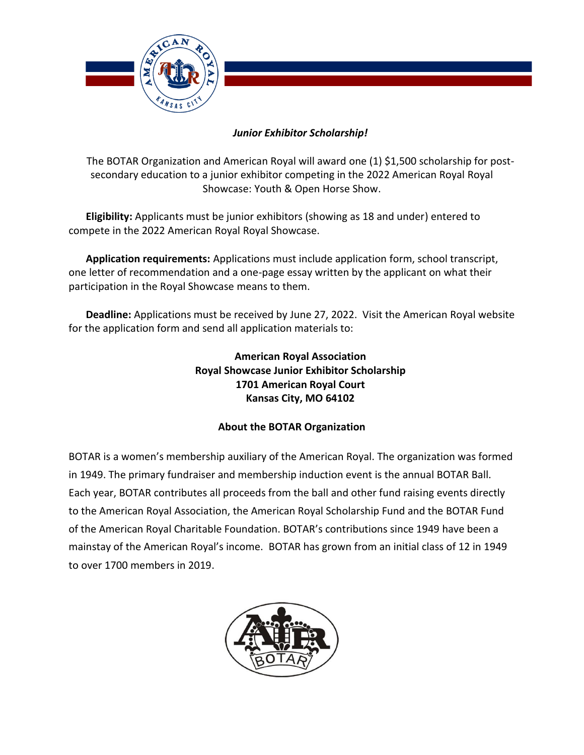

## *Junior Exhibitor Scholarship!*

The BOTAR Organization and American Royal will award one (1) \$1,500 scholarship for postsecondary education to a junior exhibitor competing in the 2022 American Royal Royal Showcase: Youth & Open Horse Show.

**Eligibility:** Applicants must be junior exhibitors (showing as 18 and under) entered to compete in the 2022 American Royal Royal Showcase.

**Application requirements:** Applications must include application form, school transcript, one letter of recommendation and a one-page essay written by the applicant on what their participation in the Royal Showcase means to them.

**Deadline:** Applications must be received by June 27, 2022. Visit the American Royal website for the application form and send all application materials to:

> **American Royal Association Royal Showcase Junior Exhibitor Scholarship 1701 American Royal Court Kansas City, MO 64102**

## **About the BOTAR Organization**

BOTAR is a women's membership auxiliary of the American Royal. The organization was formed in 1949. The primary fundraiser and membership induction event is the annual BOTAR Ball. Each year, BOTAR contributes all proceeds from the ball and other fund raising events directly to the American Royal Association, the American Royal Scholarship Fund and the BOTAR Fund of the American Royal Charitable Foundation. BOTAR's contributions since 1949 have been a mainstay of the American Royal's income. BOTAR has grown from an initial class of 12 in 1949 to over 1700 members in 2019.